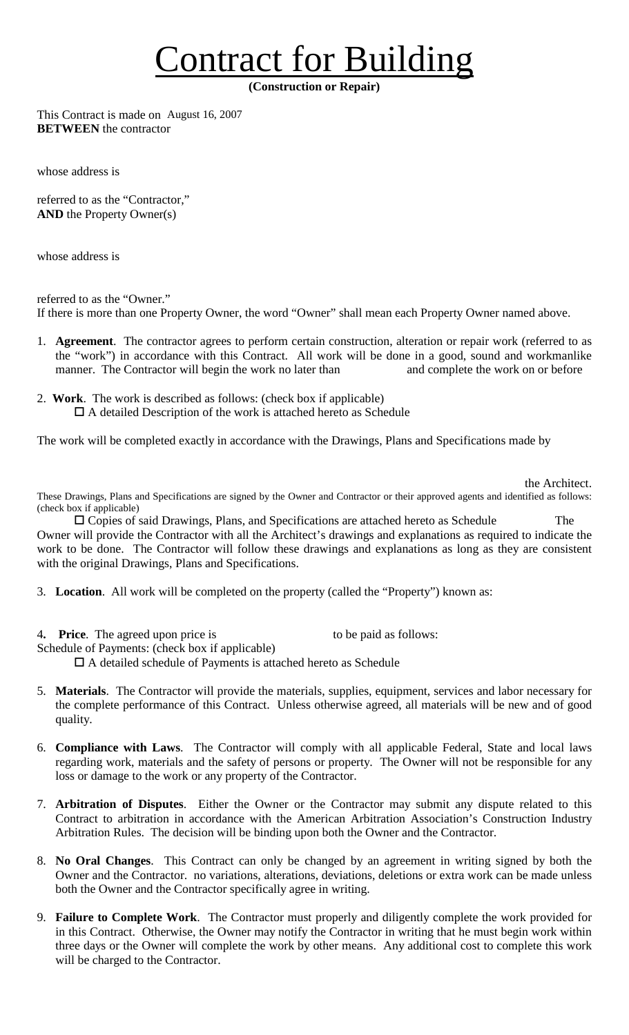## Contract for Building

**(Construction or Repair)** 

This Contract is made on August 16, 2007**BETWEEN** the contractor

whose address is

referred to as the "Contractor," **AND** the Property Owner(s)

whose address is

referred to as the "Owner." If there is more than one Property Owner, the word "Owner" shall mean each Property Owner named above.

- 1. **Agreement**. The contractor agrees to perform certain construction, alteration or repair work (referred to as the "work") in accordance with this Contract. All work will be done in a good, sound and workmanlike manner. The Contractor will begin the work no later than and complete the work on or before
- 2. **Work**. The work is described as follows: (check box if applicable)  $\Box$  A detailed Description of the work is attached hereto as Schedule

The work will be completed exactly in accordance with the Drawings, Plans and Specifications made by

the Architect.

These Drawings, Plans and Specifications are signed by the Owner and Contractor or their approved agents and identified as follows: (check box if applicable)

! Copies of said Drawings, Plans, and Specifications are attached hereto as Schedule The Owner will provide the Contractor with all the Architect's drawings and explanations as required to indicate the work to be done. The Contractor will follow these drawings and explanations as long as they are consistent with the original Drawings, Plans and Specifications.

- 3. **Location**. All work will be completed on the property (called the "Property") known as:
- 4. **Price**. The agreed upon price is to be paid as follows:

Schedule of Payments: (check box if applicable)

 $\Box$  A detailed schedule of Payments is attached hereto as Schedule

- 5. **Materials**. The Contractor will provide the materials, supplies, equipment, services and labor necessary for the complete performance of this Contract. Unless otherwise agreed, all materials will be new and of good quality.
- 6. **Compliance with Laws**. The Contractor will comply with all applicable Federal, State and local laws regarding work, materials and the safety of persons or property. The Owner will not be responsible for any loss or damage to the work or any property of the Contractor.
- 7. **Arbitration of Disputes**. Either the Owner or the Contractor may submit any dispute related to this Contract to arbitration in accordance with the American Arbitration Association's Construction Industry Arbitration Rules. The decision will be binding upon both the Owner and the Contractor.
- 8. **No Oral Changes**. This Contract can only be changed by an agreement in writing signed by both the Owner and the Contractor. no variations, alterations, deviations, deletions or extra work can be made unless both the Owner and the Contractor specifically agree in writing.
- 9. **Failure to Complete Work**. The Contractor must properly and diligently complete the work provided for in this Contract. Otherwise, the Owner may notify the Contractor in writing that he must begin work within three days or the Owner will complete the work by other means. Any additional cost to complete this work will be charged to the Contractor.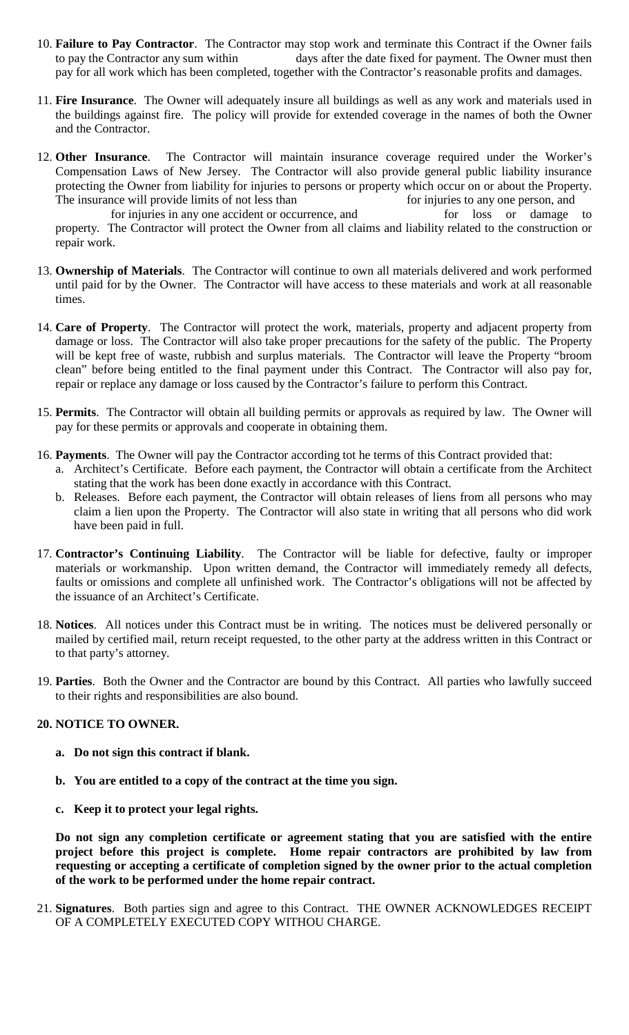- 10. **Failure to Pay Contractor**. The Contractor may stop work and terminate this Contract if the Owner fails to pay the Contractor any sum within days after the date fixed for payment. The Owner must then pay for all work which has been completed, together with the Contractor's reasonable profits and damages.
- 11. **Fire Insurance**. The Owner will adequately insure all buildings as well as any work and materials used in the buildings against fire. The policy will provide for extended coverage in the names of both the Owner and the Contractor.
- 12. **Other Insurance**. The Contractor will maintain insurance coverage required under the Worker's Compensation Laws of New Jersey. The Contractor will also provide general public liability insurance protecting the Owner from liability for injuries to persons or property which occur on or about the Property. The insurance will provide limits of not less than for injuries to any one person, and

for injuries in any one accident or occurrence, and for loss or damage to property. The Contractor will protect the Owner from all claims and liability related to the construction or repair work.

- 13. **Ownership of Materials**. The Contractor will continue to own all materials delivered and work performed until paid for by the Owner. The Contractor will have access to these materials and work at all reasonable times.
- 14. **Care of Property**. The Contractor will protect the work, materials, property and adjacent property from damage or loss. The Contractor will also take proper precautions for the safety of the public. The Property will be kept free of waste, rubbish and surplus materials. The Contractor will leave the Property "broom clean" before being entitled to the final payment under this Contract. The Contractor will also pay for, repair or replace any damage or loss caused by the Contractor's failure to perform this Contract.
- 15. **Permits**. The Contractor will obtain all building permits or approvals as required by law. The Owner will pay for these permits or approvals and cooperate in obtaining them.
- 16. **Payments**. The Owner will pay the Contractor according tot he terms of this Contract provided that:
	- a. Architect's Certificate. Before each payment, the Contractor will obtain a certificate from the Architect stating that the work has been done exactly in accordance with this Contract.
	- b. Releases. Before each payment, the Contractor will obtain releases of liens from all persons who may claim a lien upon the Property. The Contractor will also state in writing that all persons who did work have been paid in full.
- 17. **Contractor's Continuing Liability**. The Contractor will be liable for defective, faulty or improper materials or workmanship. Upon written demand, the Contractor will immediately remedy all defects, faults or omissions and complete all unfinished work. The Contractor's obligations will not be affected by the issuance of an Architect's Certificate.
- 18. **Notices**. All notices under this Contract must be in writing. The notices must be delivered personally or mailed by certified mail, return receipt requested, to the other party at the address written in this Contract or to that party's attorney.
- 19. **Parties**. Both the Owner and the Contractor are bound by this Contract. All parties who lawfully succeed to their rights and responsibilities are also bound.

## **20. NOTICE TO OWNER.**

- **a. Do not sign this contract if blank.**
- **b. You are entitled to a copy of the contract at the time you sign.**
- **c. Keep it to protect your legal rights.**

**Do not sign any completion certificate or agreement stating that you are satisfied with the entire project before this project is complete. Home repair contractors are prohibited by law from requesting or accepting a certificate of completion signed by the owner prior to the actual completion of the work to be performed under the home repair contract.** 

21. **Signatures**. Both parties sign and agree to this Contract. THE OWNER ACKNOWLEDGES RECEIPT OF A COMPLETELY EXECUTED COPY WITHOU CHARGE.